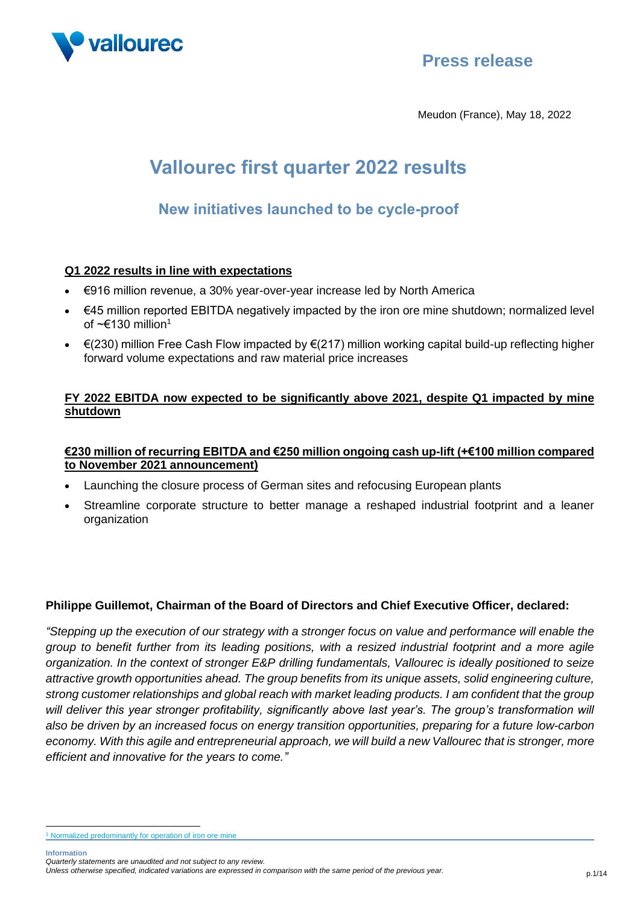

## **Press release**

Meudon (France), May 18, 2022

# **Vallourec first quarter 2022 results**

## **New initiatives launched to be cycle-proof**

## **Q1 2022 results in line with expectations**

- €916 million revenue, a 30% year-over-year increase led by North America
- €45 million reported EBITDA negatively impacted by the iron ore mine shutdown; normalized level of  $\sim \epsilon$ 130 million<sup>1</sup>
- $\epsilon$ (230) million Free Cash Flow impacted by  $\epsilon$ (217) million working capital build-up reflecting higher forward volume expectations and raw material price increases

### **FY 2022 EBITDA now expected to be significantly above 2021, despite Q1 impacted by mine shutdown**

### **€230 million of recurring EBITDA and €250 million ongoing cash up-lift (+€100 million compared to November 2021 announcement)**

- Launching the closure process of German sites and refocusing European plants
- Streamline corporate structure to better manage a reshaped industrial footprint and a leaner organization

### **Philippe Guillemot, Chairman of the Board of Directors and Chief Executive Officer, declared:**

*"Stepping up the execution of our strategy with a stronger focus on value and performance will enable the group to benefit further from its leading positions, with a resized industrial footprint and a more agile organization. In the context of stronger E&P drilling fundamentals, Vallourec is ideally positioned to seize attractive growth opportunities ahead. The group benefits from its unique assets, solid engineering culture, strong customer relationships and global reach with market leading products. I am confident that the group*  will deliver this year stronger profitability, significantly above last year's. The group's transformation will *also be driven by an increased focus on energy transition opportunities, preparing for a future low-carbon economy. With this agile and entrepreneurial approach, we will build a new Vallourec that is stronger, more efficient and innovative for the years to come."*

<sup>&</sup>lt;sup>1</sup> Normalized predominantly for operation of iron ore mine

*Quarterly statements are unaudited and not subject to any review.*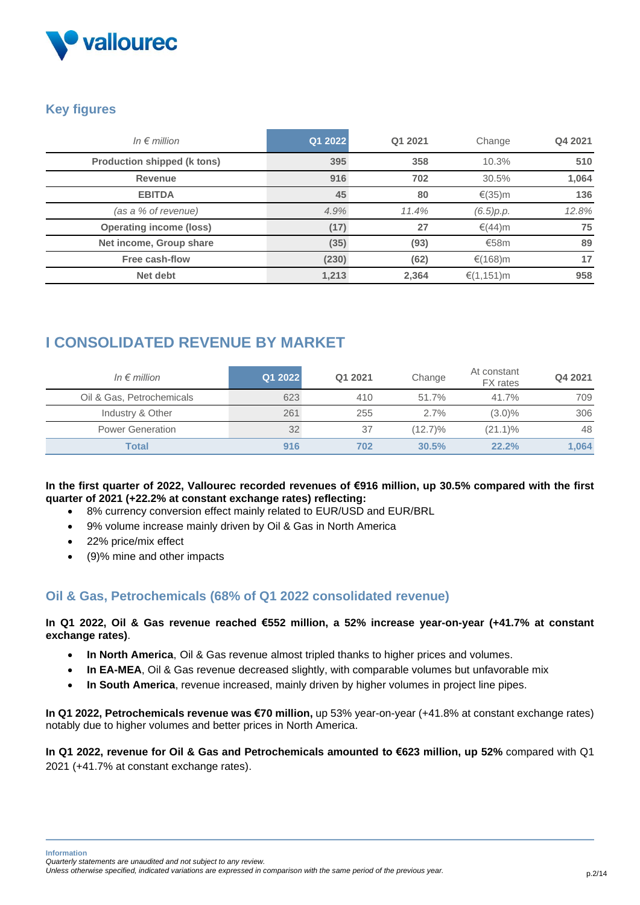

## **Key figures**

| In $\epsilon$ million              | Q1 2022 | Q1 2021 | Change         | Q4 2021 |
|------------------------------------|---------|---------|----------------|---------|
| <b>Production shipped (k tons)</b> | 395     | 358     | 10.3%          | 510     |
| <b>Revenue</b>                     | 916     | 702     | 30.5%          | 1,064   |
| <b>EBITDA</b>                      | 45      | 80      | €(35)m         | 136     |
| (as a % of revenue)                | 4.9%    | 11.4%   | (6.5)p.p.      | 12.8%   |
| <b>Operating income (loss)</b>     | (17)    | 27      | €(44)m         | 75      |
| Net income, Group share            | (35)    | (93)    | €58 $m$        | 89      |
| Free cash-flow                     | (230)   | (62)    | €(168)m        | 17      |
| Net debt                           | 1,213   | 2,364   | € $(1, 151)$ m | 958     |

## **I CONSOLIDATED REVENUE BY MARKET**

| In $\epsilon$ million     | Q1 2022 | Q1 2021 | Change     | At constant<br><b>FX</b> rates | Q4 2021 |
|---------------------------|---------|---------|------------|--------------------------------|---------|
| Oil & Gas, Petrochemicals | 623     | 410     | 51.7%      | 41.7%                          | 709     |
| Industry & Other          | 261     | 255     | 2.7%       | $(3.0)\%$                      | 306     |
| <b>Power Generation</b>   | 32      | 37      | $(12.7)\%$ | $(21.1)\%$                     | 48      |
| Total                     | 916     | 702     | 30.5%      | 22.2%                          | 1,064   |

#### **In the first quarter of 2022, Vallourec recorded revenues of €916 million, up 30.5% compared with the first quarter of 2021 (+22.2% at constant exchange rates) reflecting:**

- 8% currency conversion effect mainly related to EUR/USD and EUR/BRL
- 9% volume increase mainly driven by Oil & Gas in North America
- 22% price/mix effect
- (9)% mine and other impacts

## **Oil & Gas, Petrochemicals (68% of Q1 2022 consolidated revenue)**

**In Q1 2022, Oil & Gas revenue reached €552 million, a 52% increase year-on-year (+41.7% at constant exchange rates)**.

- **In North America**, Oil & Gas revenue almost tripled thanks to higher prices and volumes.
- In EA-MEA, Oil & Gas revenue decreased slightly, with comparable volumes but unfavorable mix
- **In South America**, revenue increased, mainly driven by higher volumes in project line pipes.

**In Q1 2022, Petrochemicals revenue was €70 million,** up 53% year-on-year (+41.8% at constant exchange rates) notably due to higher volumes and better prices in North America.

**In Q1 2022, revenue for Oil & Gas and Petrochemicals amounted to €623 million, up 52%** compared with Q1 2021 (+41.7% at constant exchange rates).

```
Quarterly statements are unaudited and not subject to any review.
```
*Unless otherwise specified, indicated variations are expressed in comparison with the same period of the previous year.* p.2/14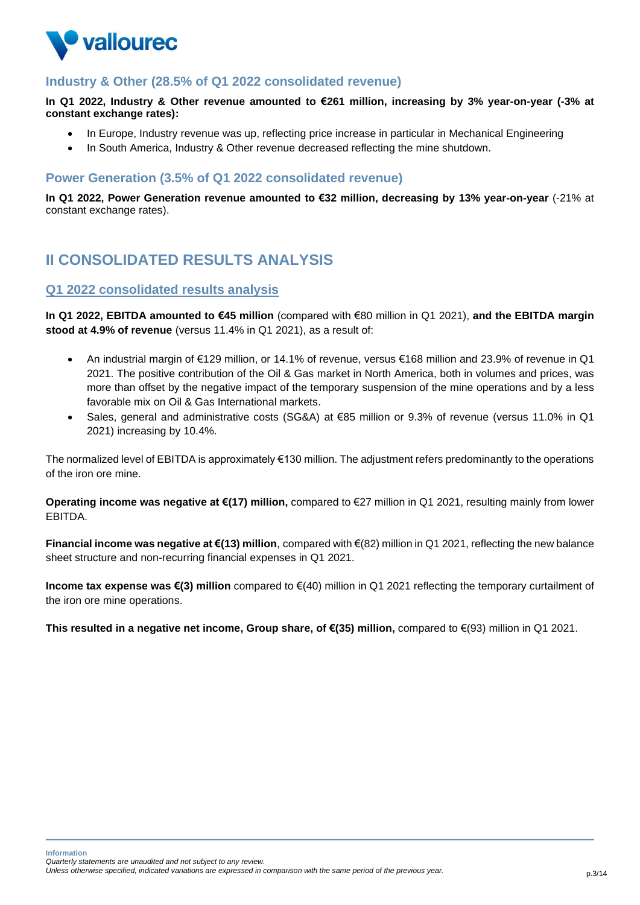

## **Industry & Other (28.5% of Q1 2022 consolidated revenue)**

**In Q1 2022, Industry & Other revenue amounted to €261 million, increasing by 3% year-on-year (-3% at constant exchange rates):**

- In Europe, Industry revenue was up, reflecting price increase in particular in Mechanical Engineering
- In South America, Industry & Other revenue decreased reflecting the mine shutdown.

### **Power Generation (3.5% of Q1 2022 consolidated revenue)**

**In Q1 2022, Power Generation revenue amounted to €32 million, decreasing by 13% year-on-year** (-21% at constant exchange rates).

## **II CONSOLIDATED RESULTS ANALYSIS**

#### **Q1 2022 consolidated results analysis**

**In Q1 2022, EBITDA amounted to €45 million** (compared with €80 million in Q1 2021), **and the EBITDA margin stood at 4.9% of revenue** (versus 11.4% in Q1 2021), as a result of:

- An industrial margin of €129 million, or 14.1% of revenue, versus €168 million and 23.9% of revenue in Q1 2021. The positive contribution of the Oil & Gas market in North America, both in volumes and prices, was more than offset by the negative impact of the temporary suspension of the mine operations and by a less favorable mix on Oil & Gas International markets.
- Sales, general and administrative costs (SG&A) at €85 million or 9.3% of revenue (versus 11.0% in Q1 2021) increasing by 10.4%.

The normalized level of EBITDA is approximately €130 million. The adjustment refers predominantly to the operations of the iron ore mine.

**Operating income was negative at €(17) million,** compared to €27 million in Q1 2021, resulting mainly from lower EBITDA.

**Financial income was negative at €(13) million**, compared with €(82) million in Q1 2021, reflecting the new balance sheet structure and non-recurring financial expenses in Q1 2021.

**Income tax expense was €(3) million** compared to €(40) million in Q1 2021 reflecting the temporary curtailment of the iron ore mine operations.

**This resulted in a negative net income, Group share, of €(35) million,** compared to €(93) million in Q1 2021.

**Information** *Quarterly statements are unaudited and not subject to any review.* 

```
Unless otherwise specified, indicated variations are expressed in comparison with the same period of the previous year. p.3/14
```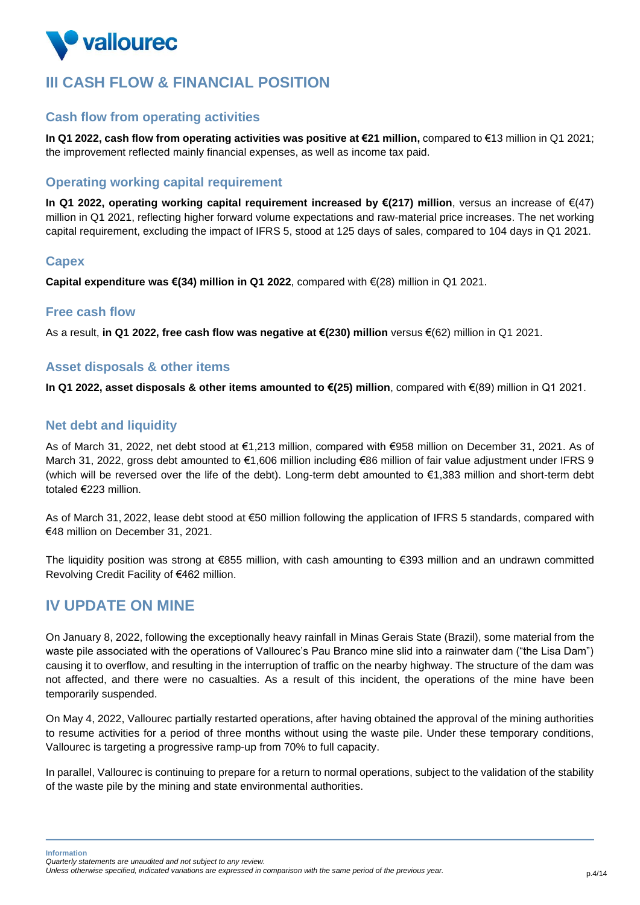

## **III CASH FLOW & FINANCIAL POSITION**

## **Cash flow from operating activities**

**In Q1 2022, cash flow from operating activities was positive at €21 million,** compared to €13 million in Q1 2021; the improvement reflected mainly financial expenses, as well as income tax paid.

## **Operating working capital requirement**

**In Q1 2022, operating working capital requirement increased by €(217) million**, versus an increase of €(47) million in Q1 2021, reflecting higher forward volume expectations and raw-material price increases. The net working capital requirement, excluding the impact of IFRS 5, stood at 125 days of sales, compared to 104 days in Q1 2021.

### **Capex**

**Capital expenditure was €(34) million in Q1 2022**, compared with €(28) million in Q1 2021.

#### **Free cash flow**

As a result, **in Q1 2022, free cash flow was negative at €(230) million** versus €(62) million in Q1 2021.

## **Asset disposals & other items**

**In Q1 2022, asset disposals & other items amounted to €(25) million**, compared with €(89) million in Q1 2021.

### **Net debt and liquidity**

As of March 31, 2022, net debt stood at €1,213 million, compared with €958 million on December 31, 2021. As of March 31, 2022, gross debt amounted to €1,606 million including €86 million of fair value adjustment under IFRS 9 (which will be reversed over the life of the debt). Long-term debt amounted to €1,383 million and short-term debt totaled €223 million.

As of March 31, 2022, lease debt stood at €50 million following the application of IFRS 5 standards, compared with €48 million on December 31, 2021.

The liquidity position was strong at €855 million, with cash amounting to €393 million and an undrawn committed Revolving Credit Facility of €462 million.

## **IV UPDATE ON MINE**

On January 8, 2022, following the exceptionally heavy rainfall in Minas Gerais State (Brazil), some material from the waste pile associated with the operations of Vallourec's Pau Branco mine slid into a rainwater dam ("the Lisa Dam") causing it to overflow, and resulting in the interruption of traffic on the nearby highway. The structure of the dam was not affected, and there were no casualties. As a result of this incident, the operations of the mine have been temporarily suspended.

On May 4, 2022, Vallourec partially restarted operations, after having obtained the approval of the mining authorities to resume activities for a period of three months without using the waste pile. Under these temporary conditions, Vallourec is targeting a progressive ramp-up from 70% to full capacity.

In parallel, Vallourec is continuing to prepare for a return to normal operations, subject to the validation of the stability of the waste pile by the mining and state environmental authorities.

*Quarterly statements are unaudited and not subject to any review.* 

*Unless otherwise specified, indicated variations are expressed in comparison with the same period of the previous year.* p.4/14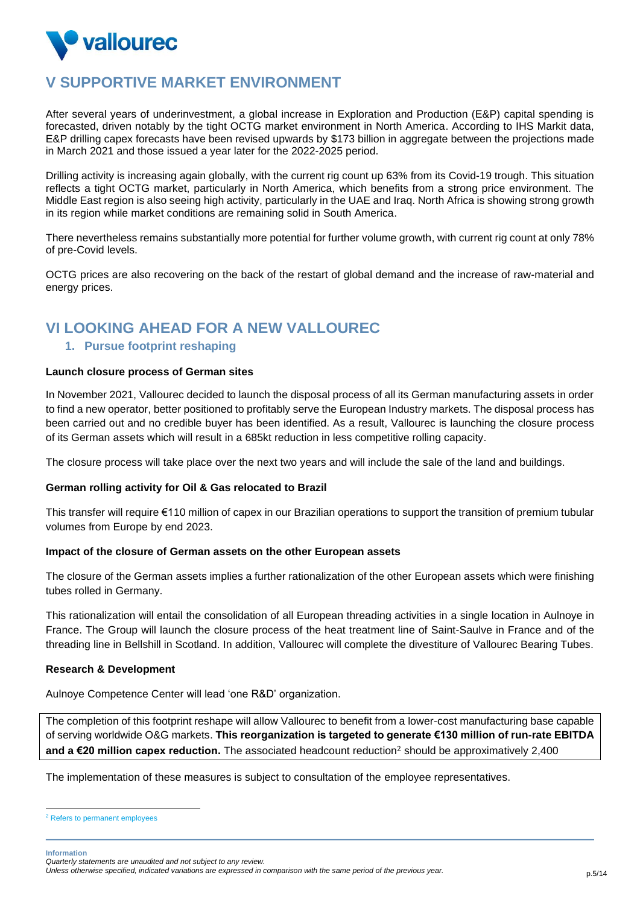

## **V SUPPORTIVE MARKET ENVIRONMENT**

After several years of underinvestment, a global increase in Exploration and Production (E&P) capital spending is forecasted, driven notably by the tight OCTG market environment in North America. According to IHS Markit data, E&P drilling capex forecasts have been revised upwards by \$173 billion in aggregate between the projections made in March 2021 and those issued a year later for the 2022-2025 period.

Drilling activity is increasing again globally, with the current rig count up 63% from its Covid-19 trough. This situation reflects a tight OCTG market, particularly in North America, which benefits from a strong price environment. The Middle East region is also seeing high activity, particularly in the UAE and Iraq. North Africa is showing strong growth in its region while market conditions are remaining solid in South America.

There nevertheless remains substantially more potential for further volume growth, with current rig count at only 78% of pre-Covid levels.

OCTG prices are also recovering on the back of the restart of global demand and the increase of raw-material and energy prices.

## **VI LOOKING AHEAD FOR A NEW VALLOUREC**

#### **1. Pursue footprint reshaping**

#### **Launch closure process of German sites**

In November 2021, Vallourec decided to launch the disposal process of all its German manufacturing assets in order to find a new operator, better positioned to profitably serve the European Industry markets. The disposal process has been carried out and no credible buyer has been identified. As a result, Vallourec is launching the closure process of its German assets which will result in a 685kt reduction in less competitive rolling capacity.

The closure process will take place over the next two years and will include the sale of the land and buildings.

#### **German rolling activity for Oil & Gas relocated to Brazil**

This transfer will require €110 million of capex in our Brazilian operations to support the transition of premium tubular volumes from Europe by end 2023.

#### **Impact of the closure of German assets on the other European assets**

The closure of the German assets implies a further rationalization of the other European assets which were finishing tubes rolled in Germany.

This rationalization will entail the consolidation of all European threading activities in a single location in Aulnoye in France. The Group will launch the closure process of the heat treatment line of Saint-Saulve in France and of the threading line in Bellshill in Scotland. In addition, Vallourec will complete the divestiture of Vallourec Bearing Tubes.

#### **Research & Development**

Aulnoye Competence Center will lead 'one R&D' organization.

The completion of this footprint reshape will allow Vallourec to benefit from a lower-cost manufacturing base capable of serving worldwide O&G markets. **This reorganization is targeted to generate €130 million of run-rate EBITDA and a €20 million capex reduction.** The associated headcount reduction<sup>2</sup> should be approximatively 2,400

The implementation of these measures is subject to consultation of the employee representatives.

<sup>2</sup> Refers to permanent employees

*Quarterly statements are unaudited and not subject to any review. Unless otherwise specified, indicated variations are expressed in comparison with the same period of the previous year.* p.5/14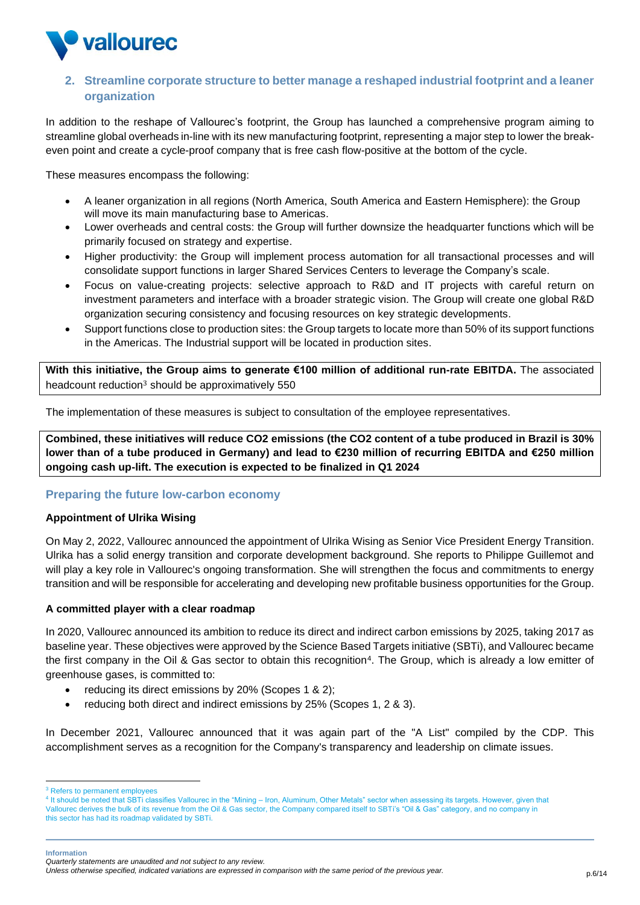

## **2. Streamline corporate structure to better manage a reshaped industrial footprint and a leaner organization**

In addition to the reshape of Vallourec's footprint, the Group has launched a comprehensive program aiming to streamline global overheads in-line with its new manufacturing footprint, representing a major step to lower the breakeven point and create a cycle-proof company that is free cash flow-positive at the bottom of the cycle.

These measures encompass the following:

- A leaner organization in all regions (North America, South America and Eastern Hemisphere): the Group will move its main manufacturing base to Americas.
- Lower overheads and central costs: the Group will further downsize the headquarter functions which will be primarily focused on strategy and expertise.
- Higher productivity: the Group will implement process automation for all transactional processes and will consolidate support functions in larger Shared Services Centers to leverage the Company's scale.
- Focus on value-creating projects: selective approach to R&D and IT projects with careful return on investment parameters and interface with a broader strategic vision. The Group will create one global R&D organization securing consistency and focusing resources on key strategic developments.
- Support functions close to production sites: the Group targets to locate more than 50% of its support functions in the Americas. The Industrial support will be located in production sites.

**With this initiative, the Group aims to generate €100 million of additional run-rate EBITDA.** The associated headcount reduction<sup>3</sup> should be approximatively 550

The implementation of these measures is subject to consultation of the employee representatives.

**Combined, these initiatives will reduce CO2 emissions (the CO2 content of a tube produced in Brazil is 30% lower than of a tube produced in Germany) and lead to €230 million of recurring EBITDA and €250 million ongoing cash up-lift. The execution is expected to be finalized in Q1 2024**

#### **Preparing the future low-carbon economy**

#### **Appointment of Ulrika Wising**

On May 2, 2022, Vallourec announced the appointment of Ulrika Wising as Senior Vice President Energy Transition. Ulrika has a solid energy transition and corporate development background. She reports to Philippe Guillemot and will play a key role in Vallourec's ongoing transformation. She will strengthen the focus and commitments to energy transition and will be responsible for accelerating and developing new profitable business opportunities for the Group.

#### **A committed player with a clear roadmap**

In 2020, Vallourec announced its ambition to reduce its direct and indirect carbon emissions by 2025, taking 2017 as baseline year. These objectives were approved by the Science Based Targets initiative (SBTi), and Vallourec became the first company in the Oil & Gas sector to obtain this recognition<sup>4</sup>. The Group, which is already a low emitter of greenhouse gases, is committed to:

- reducing its direct emissions by 20% (Scopes 1 & 2);
- reducing both direct and indirect emissions by 25% (Scopes 1, 2 & 3).

In December 2021, Vallourec announced that it was again part of the "A List" compiled by the CDP. This accomplishment serves as a recognition for the Company's transparency and leadership on climate issues.

<sup>&</sup>lt;sup>3</sup> Refers to permanent employees

<sup>4</sup> It should be noted that SBTi classifies Vallourec in the "Mining – Iron, Aluminum, Other Metals" sector when assessing its targets. However, given that Vallourec derives the bulk of its revenue from the Oil & Gas sector, the Company compared itself to SBTi's "Oil & Gas" category, and no company in this sector has had its roadmap validated by SBTi.

*Quarterly statements are unaudited and not subject to any review.* 

*Unless otherwise specified, indicated variations are expressed in comparison with the same period of the previous year.* p.6/14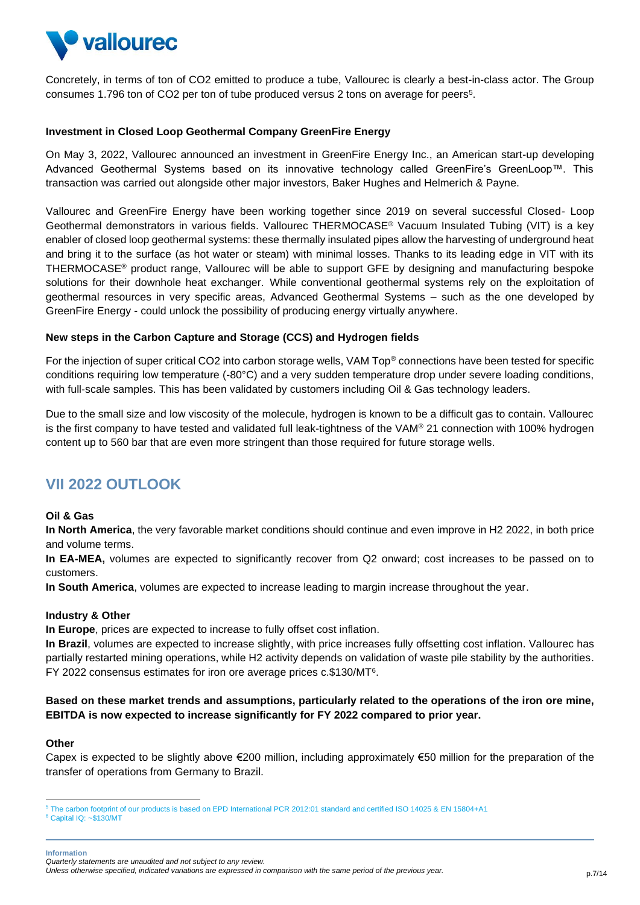

Concretely, in terms of ton of CO2 emitted to produce a tube, Vallourec is clearly a best-in-class actor. The Group consumes 1.796 ton of CO2 per ton of tube produced versus 2 tons on average for peers<sup>5</sup>.

#### **Investment in Closed Loop Geothermal Company GreenFire Energy**

On May 3, 2022, Vallourec announced an investment in GreenFire Energy Inc., an American start-up developing Advanced Geothermal Systems based on its innovative technology called GreenFire's GreenLoop™. This transaction was carried out alongside other major investors, Baker Hughes and Helmerich & Payne.

Vallourec and GreenFire Energy have been working together since 2019 on several successful Closed- Loop Geothermal demonstrators in various fields. Vallourec THERMOCASE® Vacuum Insulated Tubing (VIT) is a key enabler of closed loop geothermal systems: these thermally insulated pipes allow the harvesting of underground heat and bring it to the surface (as hot water or steam) with minimal losses. Thanks to its leading edge in VIT with its THERMOCASE® product range, Vallourec will be able to support GFE by designing and manufacturing bespoke solutions for their downhole heat exchanger. While conventional geothermal systems rely on the exploitation of geothermal resources in very specific areas, Advanced Geothermal Systems – such as the one developed by GreenFire Energy - could unlock the possibility of producing energy virtually anywhere.

#### **New steps in the Carbon Capture and Storage (CCS) and Hydrogen fields**

For the injection of super critical CO2 into carbon storage wells, VAM Top® connections have been tested for specific conditions requiring low temperature (-80°C) and a very sudden temperature drop under severe loading conditions, with full-scale samples. This has been validated by customers including Oil & Gas technology leaders.

Due to the small size and low viscosity of the molecule, hydrogen is known to be a difficult gas to contain. Vallourec is the first company to have tested and validated full leak-tightness of the VAM® 21 connection with 100% hydrogen content up to 560 bar that are even more stringent than those required for future storage wells.

## **VII 2022 OUTLOOK**

#### **Oil & Gas**

**In North America**, the very favorable market conditions should continue and even improve in H2 2022, in both price and volume terms.

**In EA-MEA,** volumes are expected to significantly recover from Q2 onward; cost increases to be passed on to customers.

**In South America**, volumes are expected to increase leading to margin increase throughout the year.

#### **Industry & Other**

**In Europe**, prices are expected to increase to fully offset cost inflation.

In Brazil, volumes are expected to increase slightly, with price increases fully offsetting cost inflation. Vallourec has partially restarted mining operations, while H2 activity depends on validation of waste pile stability by the authorities. FY 2022 consensus estimates for iron ore average prices c.\$130/MT<sup>6</sup> .

#### **Based on these market trends and assumptions, particularly related to the operations of the iron ore mine, EBITDA is now expected to increase significantly for FY 2022 compared to prior year.**

#### **Other**

Capex is expected to be slightly above €200 million, including approximately €50 million for the preparation of the transfer of operations from Germany to Brazil.

<sup>5</sup> The carbon footprint of our products is based on EPD International PCR 2012:01 standard and certified ISO 14025 & EN 15804+A1  $6$  Capital IQ: ~\$130/MT

*Quarterly statements are unaudited and not subject to any review.* 

*Unless otherwise specified, indicated variations are expressed in comparison with the same period of the previous year.* p.7/14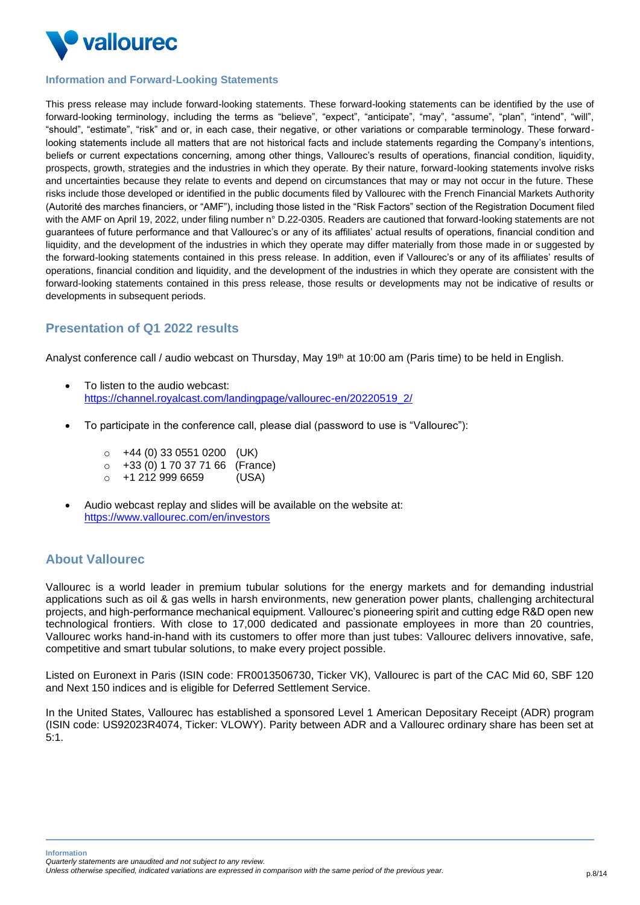

#### **Information and Forward-Looking Statements**

This press release may include forward-looking statements. These forward-looking statements can be identified by the use of forward-looking terminology, including the terms as "believe", "expect", "anticipate", "may", "assume", "plan", "intend", "will", "should", "estimate", "risk" and or, in each case, their negative, or other variations or comparable terminology. These forwardlooking statements include all matters that are not historical facts and include statements regarding the Company's intentions, beliefs or current expectations concerning, among other things, Vallourec's results of operations, financial condition, liquidity, prospects, growth, strategies and the industries in which they operate. By their nature, forward-looking statements involve risks and uncertainties because they relate to events and depend on circumstances that may or may not occur in the future. These risks include those developed or identified in the public documents filed by Vallourec with the French Financial Markets Authority (Autorité des marches financiers, or "AMF"), including those listed in the "Risk Factors" section of the Registration Document filed with the AMF on April 19, 2022, under filing number n° D.22-0305. Readers are cautioned that forward-looking statements are not guarantees of future performance and that Vallourec's or any of its affiliates' actual results of operations, financial condition and liquidity, and the development of the industries in which they operate may differ materially from those made in or suggested by the forward-looking statements contained in this press release. In addition, even if Vallourec's or any of its affiliates' results of operations, financial condition and liquidity, and the development of the industries in which they operate are consistent with the forward-looking statements contained in this press release, those results or developments may not be indicative of results or developments in subsequent periods.

### **Presentation of Q1 2022 results**

Analyst conference call / audio webcast on Thursday, May 19<sup>th</sup> at 10:00 am (Paris time) to be held in English.

- To listen to the audio webcast: [https://channel.royalcast.com/landingpage/vallourec-en/20220519\\_2/](https://channel.royalcast.com/landingpage/vallourec-en/20220519_2/)
- To participate in the conference call, please dial (password to use is "Vallourec"):
	- $\circ$  +44 (0) 33 0551 0200 (UK)
	- $\circ$  +33 (0) 1 70 37 71 66 (France)
	- $\circ$  +1 212 999 6659 (USA)
- Audio webcast replay and slides will be available on the website at: <https://www.vallourec.com/en/investors>

## **About Vallourec**

Vallourec is a world leader in premium tubular solutions for the energy markets and for demanding industrial applications such as oil & gas wells in harsh environments, new generation power plants, challenging architectural projects, and high-performance mechanical equipment. Vallourec's pioneering spirit and cutting edge R&D open new technological frontiers. With close to 17,000 dedicated and passionate employees in more than 20 countries, Vallourec works hand-in-hand with its customers to offer more than just tubes: Vallourec delivers innovative, safe, competitive and smart tubular solutions, to make every project possible.

Listed on Euronext in Paris (ISIN code: FR0013506730, Ticker VK), Vallourec is part of the CAC Mid 60, SBF 120 and Next 150 indices and is eligible for Deferred Settlement Service.

In the United States, Vallourec has established a sponsored Level 1 American Depositary Receipt (ADR) program (ISIN code: US92023R4074, Ticker: VLOWY). Parity between ADR and a Vallourec ordinary share has been set at 5:1.

**Information** *Quarterly statements are unaudited and not subject to any review.* 

*Unless otherwise specified, indicated variations are expressed in comparison with the same period of the previous year.* p.8/14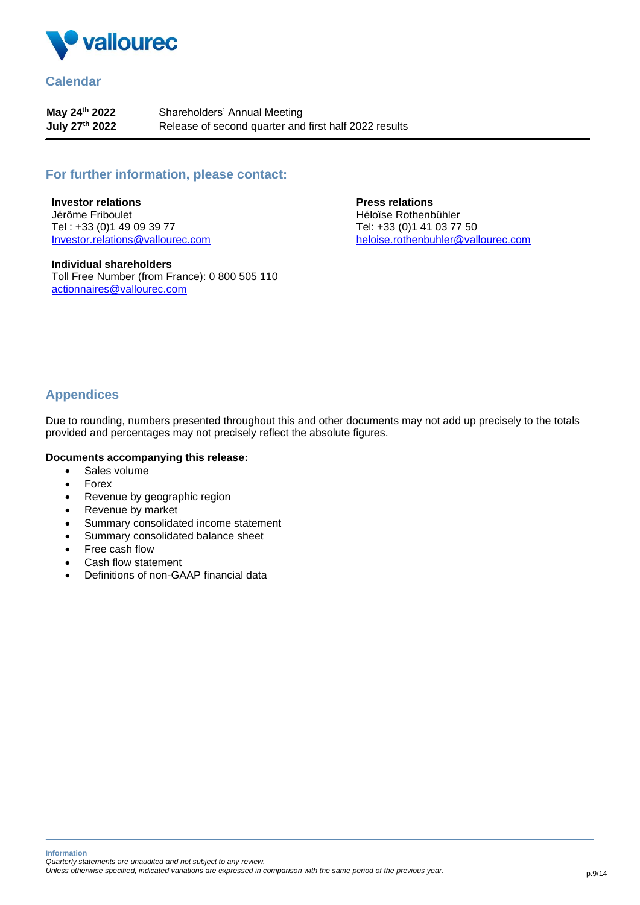

### **Calendar**

**May 24th 2022 July 27 th 2022** Shareholders' Annual Meeting Release of second quarter and first half 2022 results

## **For further information, please contact:**

**Investor relations**  Jérôme Friboulet Tel : +33 (0)1 49 09 39 77 [Investor.relations@vallourec.com](mailto:Investor.relations@vallourec.com)

**Individual shareholders** Toll Free Number (from France): 0 800 505 110 [actionnaires@vallourec.com](mailto:actionnaires@vallourec.com)

**Press relations**  Héloïse Rothenbühler Tel: +33 (0)1 41 03 77 50 [heloise.rothenbuhler@vallourec.com](mailto:heloise.rothenbuhler@vallourec.com)

## **Appendices**

Due to rounding, numbers presented throughout this and other documents may not add up precisely to the totals provided and percentages may not precisely reflect the absolute figures.

#### **Documents accompanying this release:**

- Sales volume
- Forex
- Revenue by geographic region
- Revenue by market
- Summary consolidated income statement
- Summary consolidated balance sheet
- Free cash flow
- Cash flow statement
- Definitions of non-GAAP financial data

**Information** *Quarterly statements are unaudited and not subject to any review.* 

*Unless otherwise specified, indicated variations are expressed in comparison with the same period of the previous year.* p.9/14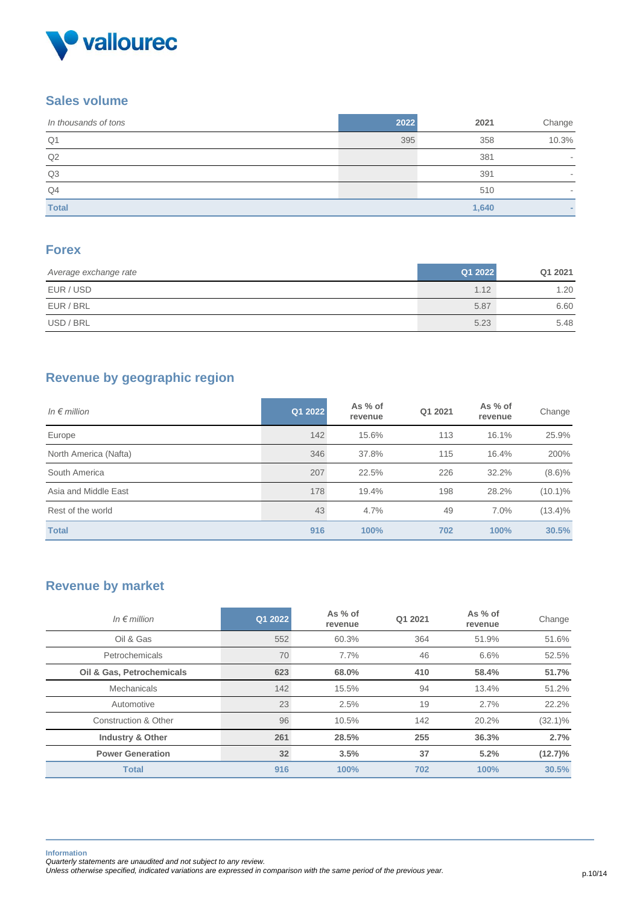

### **Sales volume**

| In thousands of tons | 2022 | 2021  | Change |
|----------------------|------|-------|--------|
| Q <sub>1</sub>       | 395  | 358   | 10.3%  |
| Q2                   |      | 381   |        |
| Q <sub>3</sub>       |      | 391   |        |
| Q4                   |      | 510   |        |
| <b>Total</b>         |      | 1,640 |        |

## **Forex**

| Average exchange rate | Q1 2022 | Q1 2021 |
|-----------------------|---------|---------|
| EUR / USD             | 1.12    | 1.20    |
| EUR / BRL             | 5.87    | 6.60    |
| USD / BRL             | 5.23    | 5.48    |

## **Revenue by geographic region**

| In $\epsilon$ million | Q1 2022 | As % of<br>revenue | Q1 2021 | As % of<br>revenue | Change     |
|-----------------------|---------|--------------------|---------|--------------------|------------|
| Europe                | 142     | 15.6%              | 113     | 16.1%              | 25.9%      |
| North America (Nafta) | 346     | 37.8%              | 115     | 16.4%              | 200%       |
| South America         | 207     | 22.5%              | 226     | 32.2%              | $(8.6)\%$  |
| Asia and Middle East  | 178     | 19.4%              | 198     | 28.2%              | $(10.1)\%$ |
| Rest of the world     | 43      | 4.7%               | 49      | 7.0%               | $(13.4)\%$ |
| <b>Total</b>          | 916     | 100%               | 702     | 100%               | 30.5%      |

## **Revenue by market**

| In $\epsilon$ million       | Q1 2022         | As % of<br>revenue | Q1 2021 | As % of<br>revenue | Change     |
|-----------------------------|-----------------|--------------------|---------|--------------------|------------|
| Oil & Gas                   | 552             | 60.3%              | 364     | 51.9%              | 51.6%      |
| <b>Petrochemicals</b>       | 70              | 7.7%               | 46      | 6.6%               | 52.5%      |
| Oil & Gas, Petrochemicals   | 623             | 68.0%              | 410     | 58.4%              | 51.7%      |
| Mechanicals                 | 142             | 15.5%              | 94      | 13.4%              | 51.2%      |
| Automotive                  | 23              | 2.5%               | 19      | 2.7%               | 22.2%      |
| Construction & Other        | 96              | 10.5%              | 142     | 20.2%              | $(32.1)\%$ |
| <b>Industry &amp; Other</b> | 261             | 28.5%              | 255     | 36.3%              | 2.7%       |
| <b>Power Generation</b>     | 32 <sub>2</sub> | 3.5%               | 37      | 5.2%               | $(12.7)\%$ |
| <b>Total</b>                | 916             | 100%               | 702     | 100%               | 30.5%      |

**Information**

*Unless otherwise specified, indicated variations are expressed in comparison with the same period of the previous year.* p.10/14

*Quarterly statements are unaudited and not subject to any review.*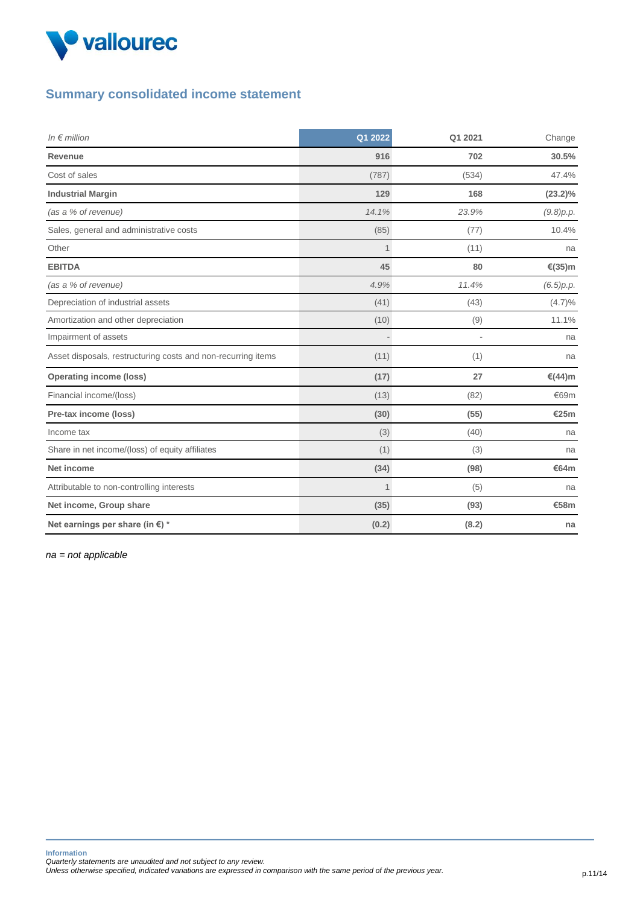

## **Summary consolidated income statement**

| In $\notin$ million                                          | Q1 2022 | Q1 2021 | Change     |
|--------------------------------------------------------------|---------|---------|------------|
| Revenue                                                      | 916     | 702     | 30.5%      |
| Cost of sales                                                | (787)   | (534)   | 47.4%      |
| <b>Industrial Margin</b>                                     | 129     | 168     | $(23.2)\%$ |
| (as a % of revenue)                                          | 14.1%   | 23.9%   | (9.8)p.p.  |
| Sales, general and administrative costs                      | (85)    | (77)    | 10.4%      |
| Other                                                        | 1       | (11)    | na         |
| <b>EBITDA</b>                                                | 45      | 80      | €(35)m     |
| (as a % of revenue)                                          | 4.9%    | 11.4%   | (6.5)p.p.  |
| Depreciation of industrial assets                            | (41)    | (43)    | $(4.7)\%$  |
| Amortization and other depreciation                          | (10)    | (9)     | 11.1%      |
| Impairment of assets                                         |         | ä,      | na         |
| Asset disposals, restructuring costs and non-recurring items | (11)    | (1)     | na         |
| <b>Operating income (loss)</b>                               | (17)    | 27      | €(44)m     |
| Financial income/(loss)                                      | (13)    | (82)    | €69m       |
| Pre-tax income (loss)                                        | (30)    | (55)    | €25m       |
| Income tax                                                   | (3)     | (40)    | na         |
| Share in net income/(loss) of equity affiliates              | (1)     | (3)     | na         |
| Net income                                                   | (34)    | (98)    | €64m       |
| Attributable to non-controlling interests                    | 1       | (5)     | na         |
| Net income, Group share                                      | (35)    | (93)    | €58m       |
| Net earnings per share (in €) *                              | (0.2)   | (8.2)   | na         |

*na = not applicable*

**Information** *Quarterly statements are unaudited and not subject to any review.* 

*Unless otherwise specified, indicated variations are expressed in comparison with the same period of the previous year.* p.11/14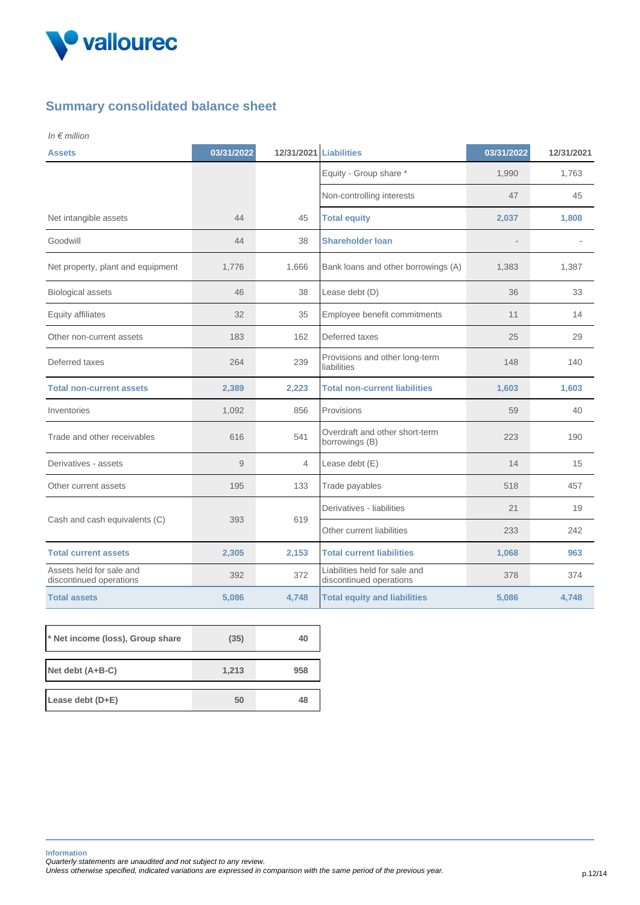

## **Summary consolidated balance sheet**

*In € million* 

| <b>Assets</b>                                       | 03/31/2022 | 12/31/2021 Liabilities |                                                          | 03/31/2022 | 12/31/2021 |
|-----------------------------------------------------|------------|------------------------|----------------------------------------------------------|------------|------------|
|                                                     |            |                        | Equity - Group share *                                   | 1,990      | 1,763      |
|                                                     |            |                        | Non-controlling interests                                | 47         | 45         |
| Net intangible assets                               | 44         | 45                     | <b>Total equity</b>                                      | 2,037      | 1,808      |
| Goodwill                                            | 44         | 38                     | <b>Shareholder loan</b>                                  |            |            |
| Net property, plant and equipment                   | 1,776      | 1,666                  | Bank loans and other borrowings (A)                      | 1,383      | 1,387      |
| <b>Biological assets</b>                            | 46         | 38                     | Lease debt (D)                                           | 36         | 33         |
| Equity affiliates                                   | 32         | 35                     | Employee benefit commitments                             | 11         | 14         |
| Other non-current assets                            | 183        | 162                    | Deferred taxes                                           | 25         | 29         |
| Deferred taxes                                      | 264        | 239                    | Provisions and other long-term<br>liabilities            | 148        | 140        |
| <b>Total non-current assets</b>                     | 2,389      | 2,223                  | <b>Total non-current liabilities</b>                     | 1,603      | 1,603      |
| Inventories                                         | 1,092      | 856                    | Provisions                                               | 59         | 40         |
| Trade and other receivables                         | 616        | 541                    | Overdraft and other short-term<br>borrowings (B)         | 223        | 190        |
| Derivatives - assets                                | 9          | 4                      | Lease debt (E)                                           | 14         | 15         |
| Other current assets                                | 195        | 133                    | Trade payables                                           | 518        | 457        |
|                                                     | 393        | 619                    | Derivatives - liabilities                                | 21         | 19         |
| Cash and cash equivalents (C)                       |            |                        | Other current liabilities                                | 233        | 242        |
| <b>Total current assets</b>                         | 2,305      | 2,153                  | <b>Total current liabilities</b>                         | 1,068      | 963        |
| Assets held for sale and<br>discontinued operations | 392        | 372                    | Liabilities held for sale and<br>discontinued operations | 378        | 374        |
| <b>Total assets</b>                                 | 5,086      | 4,748                  | <b>Total equity and liabilities</b>                      | 5,086      | 4,748      |

| * Net income (loss), Group share | (35)  | 40  |
|----------------------------------|-------|-----|
| Net debt $(A+B-C)$               | 1,213 | 958 |
| Lease debt $(D+E)$               | 50    | 48  |

**Information**

*Quarterly statements are unaudited and not subject to any review.* 

*Unless otherwise specified, indicated variations are expressed in comparison with the same period of the previous year.* p.12/14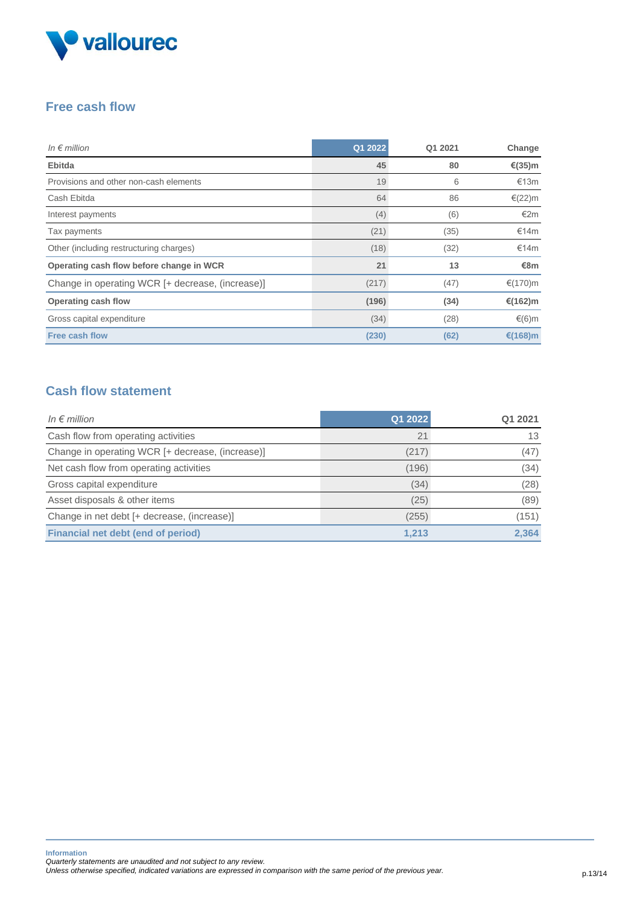

## **Free cash flow**

| In $\epsilon$ million                            | Q1 2022 | Q1 2021 | Change    |
|--------------------------------------------------|---------|---------|-----------|
| <b>Ebitda</b>                                    | 45      | 80      | €(35)m    |
| Provisions and other non-cash elements           | 19      | 6       | €13m      |
| Cash Ebitda                                      | 64      | 86      | $€(22)$ m |
| Interest payments                                | (4)     | (6)     | €2m       |
| Tax payments                                     | (21)    | (35)    | €14m      |
| Other (including restructuring charges)          | (18)    | (32)    | €14m      |
| Operating cash flow before change in WCR         | 21      | 13      | €8m       |
| Change in operating WCR [+ decrease, (increase)] | (217)   | (47)    | €(170)m   |
| Operating cash flow                              | (196)   | (34)    | €(162)m   |
| Gross capital expenditure                        | (34)    | (28)    | €(6)m     |
| <b>Free cash flow</b>                            | (230)   | (62)    | €(168)m   |

## **Cash flow statement**

| In $\epsilon$ million                            | Q1 2022 | Q1 2021 |
|--------------------------------------------------|---------|---------|
| Cash flow from operating activities              | 21      | 13      |
| Change in operating WCR [+ decrease, (increase)] | (217)   | (47)    |
| Net cash flow from operating activities          | (196)   | (34)    |
| Gross capital expenditure                        | (34)    | (28)    |
| Asset disposals & other items                    | (25)    | (89)    |
| Change in net debt [+ decrease, (increase)]      | (255)   | (151)   |
| Financial net debt (end of period)               | 1,213   | 2,364   |

*Unless otherwise specified, indicated variations are expressed in comparison with the same period of the previous year.* p.13/14